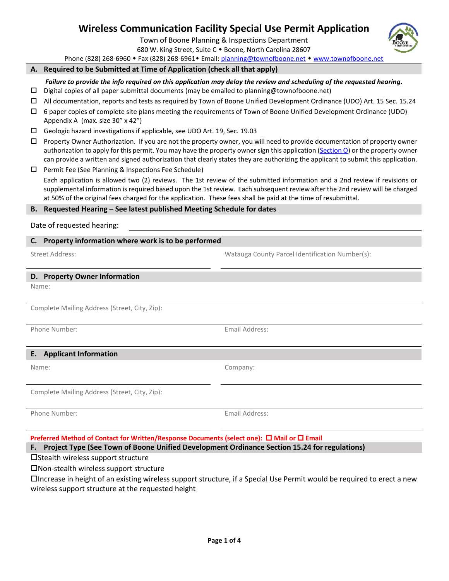# **Wireless Communication Facility Special Use Permit Application**

Town of Boone Planning & Inspections Department

680 W. King Street, Suite C . Boone, North Carolina 28607

Phone (828) 268-6960 • Fax (828) 268-6961 • Email[: planning@townofboone.net](mailto:planning@townofboone.net) • [www.townofboone.net](http://www.townofboone.net/)

#### **A. Required to be Submitted at Time of Application (check all that apply)**

*Failure to provide the info required on this application may delay the review and scheduling of the requested hearing.*

- $\Box$  Digital copies of all paper submittal documents (may be emailed to planning@townofboone.net)
- All documentation, reports and tests as required by Town of Boone Unified Development Ordinance (UDO) Art. 15 Sec. 15.24
- $\Box$  6 paper copies of complete site plans meeting the requirements of Town of Boone Unified Development Ordinance (UDO) Appendix A (max. size 30" x 42")
- Geologic hazard investigations if applicable, see UDO Art. 19, Sec. 19.03
- $\Box$  Property Owner Authorization. If you are not the property owner, you will need to provide documentation of property owner authorization to apply for this permit. You may have the property owner sign this application [\(Section O\)](#page-2-0) or the property owner can provide a written and signed authorization that clearly states they are authorizing the applicant to submit this application.
- $\square$  Permit Fee (See Planning & Inspections Fee Schedule)

Each application is allowed two (2) reviews. The 1st review of the submitted information and a 2nd review if revisions or supplemental information is required based upon the 1st review. Each subsequent review after the 2nd review will be charged at 50% of the original fees charged for the application. These fees shall be paid at the time of resubmittal.

#### **B. Requested Hearing – See latest published Meeting Schedule for dates**

Date of requested hearing:

## **C. Property information where work is to be performed**

Street Address: Watauga County Parcel Identification Number(s):

#### **D. Property Owner Information**

Name:

Complete Mailing Address (Street, City, Zip):

Phone Number: Email Address:

# **E. Applicant Information**

Complete Mailing Address (Street, City, Zip):

Phone Number: The Communication of the Communication of the Email Address:

**Preferred Method of Contact for Written/Response Documents (select one): □ Mail or □ Email** 

**F. Project Type (See Town of Boone Unified Development Ordinance Section 15.24 for regulations)**

 $\square$ Stealth wireless support structure

Non-stealth wireless support structure

Increase in height of an existing wireless support structure, if a Special Use Permit would be required to erect a new wireless support structure at the requested height



Name: Company: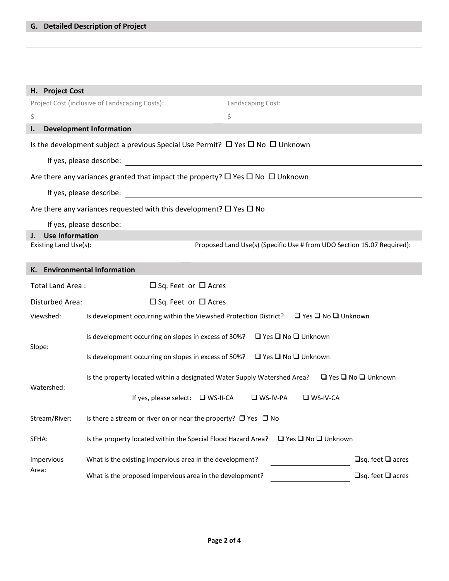| H. Project Cost                                                                               |                                                                                                                              |                   |                              |  |  |  |  |  |
|-----------------------------------------------------------------------------------------------|------------------------------------------------------------------------------------------------------------------------------|-------------------|------------------------------|--|--|--|--|--|
| Project Cost (inclusive of Landscaping Costs):                                                |                                                                                                                              | Landscaping Cost: |                              |  |  |  |  |  |
| \$                                                                                            |                                                                                                                              | \$                |                              |  |  |  |  |  |
| I.                                                                                            | <b>Development Information</b>                                                                                               |                   |                              |  |  |  |  |  |
| Is the development subject a previous Special Use Permit? $\Box$ Yes $\Box$ No $\Box$ Unknown |                                                                                                                              |                   |                              |  |  |  |  |  |
|                                                                                               | If yes, please describe:<br><u> 1989 - Johann John Stein, marwolaethau (b. 1989)</u>                                         |                   |                              |  |  |  |  |  |
|                                                                                               | Are there any variances granted that impact the property? $\square$ Yes $\square$ No $\square$ Unknown                       |                   |                              |  |  |  |  |  |
|                                                                                               | If yes, please describe:                                                                                                     |                   |                              |  |  |  |  |  |
| Are there any variances requested with this development? $\square$ Yes $\square$ No           |                                                                                                                              |                   |                              |  |  |  |  |  |
| If yes, please describe:                                                                      |                                                                                                                              |                   |                              |  |  |  |  |  |
| <b>Use Information</b><br>$\mathbf{I}$ .                                                      |                                                                                                                              |                   |                              |  |  |  |  |  |
|                                                                                               | Existing Land Use(s):<br>Proposed Land Use(s) (Specific Use # from UDO Section 15.07 Required):                              |                   |                              |  |  |  |  |  |
| K. Environmental Information                                                                  |                                                                                                                              |                   |                              |  |  |  |  |  |
| □ Sq. Feet or □ Acres<br>Total Land Area:                                                     |                                                                                                                              |                   |                              |  |  |  |  |  |
| Disturbed Area:<br>$\square$ Sq. Feet or $\square$ Acres                                      |                                                                                                                              |                   |                              |  |  |  |  |  |
| Viewshed:                                                                                     | Is development occurring within the Viewshed Protection District? $\Box$ Yes $\Box$ No $\Box$ Unknown                        |                   |                              |  |  |  |  |  |
| Slope:                                                                                        | Is development occurring on slopes in excess of 30%?  □ Yes □ No □ Unknown                                                   |                   |                              |  |  |  |  |  |
|                                                                                               | Is development occurring on slopes in excess of 50%? $\Box$ Yes $\Box$ No $\Box$ Unknown                                     |                   |                              |  |  |  |  |  |
| Watershed:                                                                                    | Is the property located within a designated Water Supply Watershed Area?<br><br>$\square$ Yes $\square$ No $\square$ Unknown |                   |                              |  |  |  |  |  |
|                                                                                               | If yes, please select: $\Box$ WS-II-CA $\Box$ WS-IV-PA                                                                       | $\Box$ WS-IV-CA   |                              |  |  |  |  |  |
| Stream/River:                                                                                 | Is there a stream or river on or near the property? $\Box$ Yes $\Box$ No                                                     |                   |                              |  |  |  |  |  |
| SFHA:                                                                                         | $\Box$ Yes $\Box$ No $\Box$ Unknown<br>Is the property located within the Special Flood Hazard Area?                         |                   |                              |  |  |  |  |  |
| Impervious<br>Area:                                                                           | What is the existing impervious area in the development?                                                                     |                   | $\Box$ sq. feet $\Box$ acres |  |  |  |  |  |
|                                                                                               | What is the proposed impervious area in the development?                                                                     |                   | $\Box$ sq. feet $\Box$ acres |  |  |  |  |  |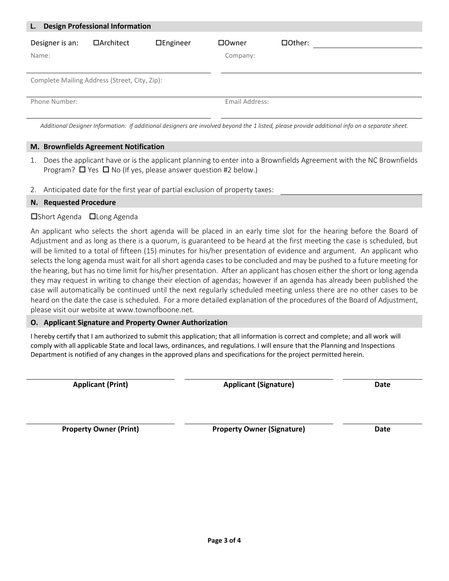| <b>Design Professional Information</b><br>L.  |            |                 |                |         |  |  |  |
|-----------------------------------------------|------------|-----------------|----------------|---------|--|--|--|
| Designer is an:                               | □Architect | $\Box$ Engineer | □Owner         | □Other: |  |  |  |
| Name:                                         |            |                 | Company:       |         |  |  |  |
|                                               |            |                 |                |         |  |  |  |
| Complete Mailing Address (Street, City, Zip): |            |                 |                |         |  |  |  |
|                                               |            |                 |                |         |  |  |  |
| Phone Number:                                 |            |                 | Email Address: |         |  |  |  |
|                                               |            |                 |                |         |  |  |  |

*Additional Designer Information: If additional designers are involved beyond the 1 listed, please provide additional info on a separate sheet.*

## **M. Brownfields Agreement Notification**

- 1. Does the applicant have or is the applicant planning to enter into a Brownfields Agreement with the NC Brownfields Program?  $\Box$  Yes  $\Box$  No (If yes, please answer question #2 below.)
- 2. Anticipated date for the first year of partial exclusion of property taxes:

# **N. Requested Procedure**

## □Short Agenda □Long Agenda

An applicant who selects the short agenda will be placed in an early time slot for the hearing before the Board of Adjustment and as long as there is a quorum, is guaranteed to be heard at the first meeting the case is scheduled, but will be limited to a total of fifteen (15) minutes for his/her presentation of evidence and argument. An applicant who selects the long agenda must wait for all short agenda cases to be concluded and may be pushed to a future meeting for the hearing, but has no time limit for his/her presentation. After an applicant has chosen either the short or long agenda they may request in writing to change their election of agendas; however if an agenda has already been published the case will automatically be continued until the next regularly scheduled meeting unless there are no other cases to be heard on the date the case is scheduled. For a more detailed explanation of the procedures of the Board of Adjustment, please visit our website at www.townofboone.net.

# <span id="page-2-0"></span>**O. Applicant Signature and Property Owner Authorization**

I hereby certify that I am authorized to submit this application; that all information is correct and complete; and all work will comply with all applicable State and local laws, ordinances, and regulations. I will ensure that the Planning and Inspections Department is notified of any changes in the approved plans and specifications for the project permitted herein.

**Applicant (Print) Applicant (Signature) Date**

**Property Owner (Print) Property Owner (Signature) Date**